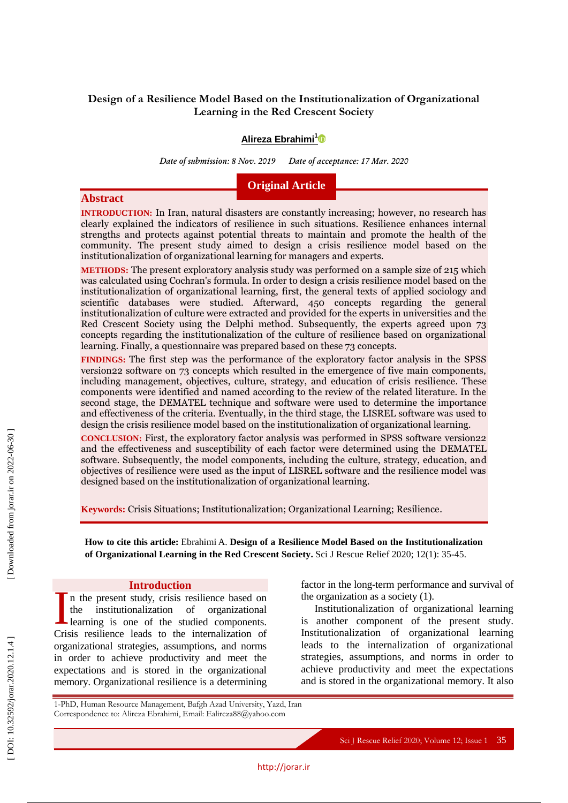# **Design of a Resilience Model Based on the Institutionalization of Organizational Learning in the Red Crescent Society**

# **Alireza Ebrahimi 1**

*Date of submission: 8 Nov. 2019 Date of acceptance: 17 Mar. 2020*

# **Original Article**

# **Abstract**

**INTRODUCTION :** In Iran, natural disasters are constantly increasing; however, no research has clearly explained the indicators of resilience in such situations. Resilience enhances internal strengths and protects against potential threats to maintain and promote the health of the community. The present study aimed to design a crisis resilience model based on the institutionalization of organizational learning for managers and experts.

**METHODS :** The present exploratory analysis study was performed on a sample size of 215 which was calculated using Cochran's formula. In order to design a crisis resilience model based on the institutionalization of organizational learning, first, the general texts of applied sociology and scientific databases were studied. Afterward, 450 concepts regarding the general institutionalization of culture were extracted and provided for the experts in universities and the Red Crescent Society using the Delphi method. Subsequently, the experts agreed upon 73 concepts regarding the institutionalization of the culture of resilience based on organizational learning. Finally, a questionnaire was prepared based on these 73 concepts.

**FINDINGS :** The first step was the performance of the exploratory factor analysis in the SPSS version22 software on 73 concepts which resulted in the emergence of five main components, including management, objectives, culture, strategy, and education of crisis resilience. These components were identified and named according to the review of the related literature. In the second stage, the DEMATEL technique and software were used to determine the importance and effectiveness of the criteria. Eventually, in the third stage, the LISREL software was used to design the crisis resilience model based on the institutionalization of organizational learning.

**CONCLUSION:** First, the exploratory factor analysis was performed in SPSS software version22 and the effectiveness and susceptibility of each factor were determined using the DEMATEL software. Subsequently, the model components, including the culture, strategy, education, and objectives of resilience were used as the input of LISREL software and the resilience model was designed based on the institutionalization of organizational learning.

**Keywords:** Crisis Situations; Institutionalization; Organizational Learning; Resilience .

**How to cite this article:** Ebrahimi A. **Design of a Resilience Model Based on the Institutionalization**  of Organizational Learning in the Red Crescent Society. Sci J Rescue Relief 2020; 12(1): 35-45.

http://jorar.i r

# **Introduction**

n the present study, crisis resilience based on the institutionalization of organizational learning is one of the studied components. Introduction<br>the institutionalization of organizational<br>learning is one of the studied components.<br>Crisis resilience leads to the internalization of organizational strategies, assumptions, and norms in order to achieve productivity and meet the expectations and is stored in the organizational memory. Organizational resilience is a determining

factor in the long -term performance and survival of the organization as a society (1).

Institutionalization of organizational learning is another component of the present study. Institutionalization of organizational learning leads to the internalization of organizational strategies, assumptions, and norms in order to achieve productivity and meet the expectations and is stored in the organizational memory. It also

1 -PhD, Human Resource Management, Bafgh Azad University, Yazd, Iran Correspondence to: Alireza Ebrahimi, Email: Ealireza88@yahoo.com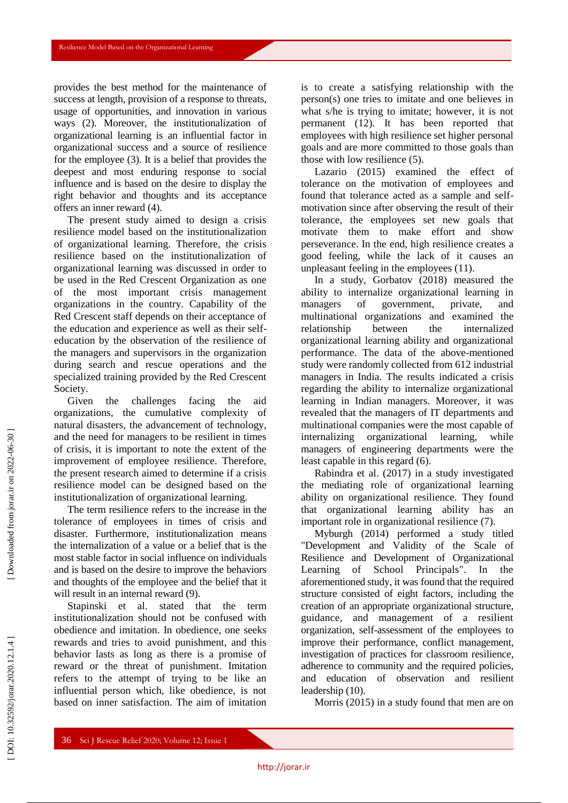provides the best method for the maintenance of success at length, provision of a response to threats, usage of opportunities, and innovation in various ways (2). Moreover, the institutionalization of organizational learning is an influential factor in organizational success and a source of resilience for the employee (3). It is a belief that provides the deepest and most enduring response to social influence and is based on the desire to display the right behavior and thoughts and its acceptance offers an inner reward (4).

The present study aimed to design a crisis resilience model based on the institutionalization of organizational learning. Therefore, the crisis resilience based on the institutionalization of organizational learning was discussed in order to be used in the Red Crescent Organization as one of the most important crisis management organizations in the country. Capability of the Red Crescent staff depends on their acceptance of the education and experience as well as their self education by the observation of the resilience of the managers and supervisors in the organization during search and rescue operations and the specialized training provided by the Red Crescent Society.

Given the challenges facing the aid organizations, the cumulative complexity of natural disasters, the advancement of technology, and the need for managers to be resilient in times of crisis, it is important to note the extent of the improvement of employee resilience. Therefore, the present research aimed to determine if a crisis resilience model can be designed based on the institutionalization of organizational learning.

The term resilience refers to the increase in the tolerance of employees in times of crisis and disaster. Furthermore, institutionalization means the internalization of a value or a belief that is the most stable factor in social influence on individuals and is based on the desire to improve the behaviors and thoughts of the employee and the belief that it will result in an internal reward  $(9)$ .

Stapinski et al. stated that the term institutionalization should not be confused with obedience and imitation. In obedience, one seeks rewards and tries to avoid punishment, and this behavior lasts as long as there is a promise of reward or the threat of punishment. Imitation refers to the attempt of trying to be like an influential person which, like obedience, is not based on inner satisfaction. The aim of imitation is to create a satisfying relationship with the person(s) one tries to imitate and one believes in what s/he is trying to imitate; however, it is not permanent (12). It has been reported that employees with high resilience set higher personal goals and are more committed to those goals than those with low resilience (5).

Lazario (2015) examined the effect of tolerance on the motivation of employees and found that tolerance acted as a sample and self motivation since after observing the result of their tolerance, the employees set new goals that motivate them to make effort and show perseverance. In the end, high resilience creates a good feeling, while the lack of it causes an unpleasant feeling in the employees (11).

In a study, Gorbatov (2018) measured the ability to internalize organizational learning in managers of government, private, and multinational organizations and examined the relationship between the internalized organizational learning ability and organizational performance. The data of the above -mentioned study were randomly collected from 612 industrial managers in India. The results indicated a crisis regarding the ability to internalize organizational learning in Indian managers. Moreover, it was revealed that the managers of IT departments and multinational companies were the most capable of internalizing organizational learning, while managers of engineering departments were the least capable in this regard (6).

Rabindra et al. (2017) in a study investigated the mediating role of organizational learning ability on organizational resilience. They found that organizational learning ability has an important role in organizational resilience (7).

Myburgh (2014) performed a study titled "Development and Validity of the Scale of Resilience and Development of Organizational Learning of School Principals". In the aforementioned study, it was found that the required structure consisted of eight factors, including the creation of an appropriate organizational structure, guidance, and management of a resilient organization, self-assessment of the employees to improve their performance, conflict management, investigation of practices for classroom resilience, adherence to community and the required policies, and education of observation and resilient leadership (10).

Morris (2015) in a study found that men are on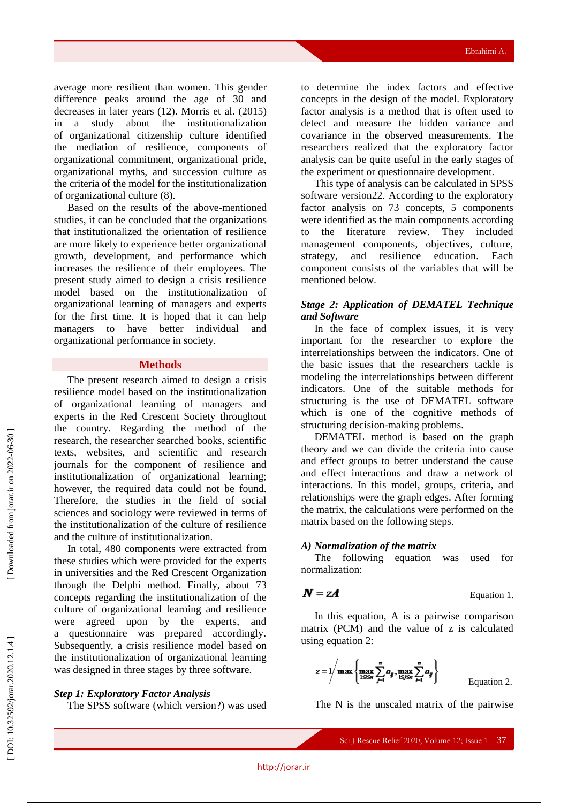average more resilient than women. This gender difference peaks around the age of 30 and decreases in later years (12). Morris et al. (2015) in a study about the institutionalization of organizational citizenship culture identified the mediation of resilience, components of organizational commitment, organizational pride, organizational myths, and succession culture as the criteria of the model for the institutionalization of organizational culture (8).

Based on the results of the above -mentioned studies, it can be concluded that the organizations that institutionalized the orientation of resilience are more likely to experience better organizational growth, development, and performance which increases the resilience of their employees. The present study aimed to design a crisis resilience model based on the institutionalization of organizational learning of managers and experts for the first time. It is hoped that it can help managers to have better individual and organizational performance in society.

#### **Methods**

The present research aimed to design a crisis resilience model based on the institutionalization of organizational learning of managers and experts in the Red Crescent Society throughout the country. Regarding the method of the research, the researcher searched books, scientific texts, websites, and scientific and research journals for the component of resilience and institutionalization of organizational learning; however, the required data could not be found. Therefore, the studies in the field of social sciences and sociology were reviewed in terms of the institutionalization of the culture of resilience and the culture of institutionalization.

In total, 480 components were extracted from these studies which were provided for the experts in universities and the Red Crescent Organization through the Delphi method. Finally, about 73 concepts regarding the institutionalization of the culture of organizational learning and resilience were agreed upon by the experts, and questionnaire was prepared accordingly. Subsequently, a crisis resilience model based on the institutionalization of organizational learning was designed in three stages by three software.

### *Step 1: Exploratory Factor Analysis*

The SPSS software (which version?) was used

to determine the index factors and effective concepts in the design of the model. Exploratory factor analysis is a method that is often used to detect and measure the hidden variance and covariance in the observed measurements. The researchers realized that the exploratory factor analysis can be quite useful in the early stages of the experiment or questionnaire development.

This type of analysis can be calculated in SPSS software version22. According to the exploratory factor analysis on 73 concepts, 5 components were identified as the main components according to the literature review. They included management components, objectives, culture, strategy, and resilience education. Each component consists of the variables that will be mentioned below.

### *Stage 2: Application of DEMATEL Technique and Software*

In the face of complex issues, it is very important for the researcher to explore the interrelationships between the indicators. One of the basic issues that the researchers tackle is modeling the interrelationships between different indicators. One of the suitable methods for structuring is the use of DEMATEL software which is one of the cognitive methods of structuring decision -making problems.

DEMATEL method is based on the graph theory and we can divide the criteria into cause and effect groups to better understand the cause and effect interactions and draw a network of interactions. In this model, groups, criteria, and relationships were the graph edges. After forming the matrix, the calculations were performed on the matrix based on the following steps .

### *A) Normalization of the matrix*

The following equation was used for normalization:

$$
N=zA
$$

Equation 1.

In this equation, A is a pairwise comparison matrix (PCM) and the value of z is calculated using equation 2:

$$
z = 1 / \max \left\{ \max_{1 \leq s} \sum_{j=1}^{n} a_{ij}, \max_{1 \leq j \leq n} \sum_{i=1}^{n} a_{ij} \right\}
$$
 Equation 2.

The N is the unscaled matrix of the pairwise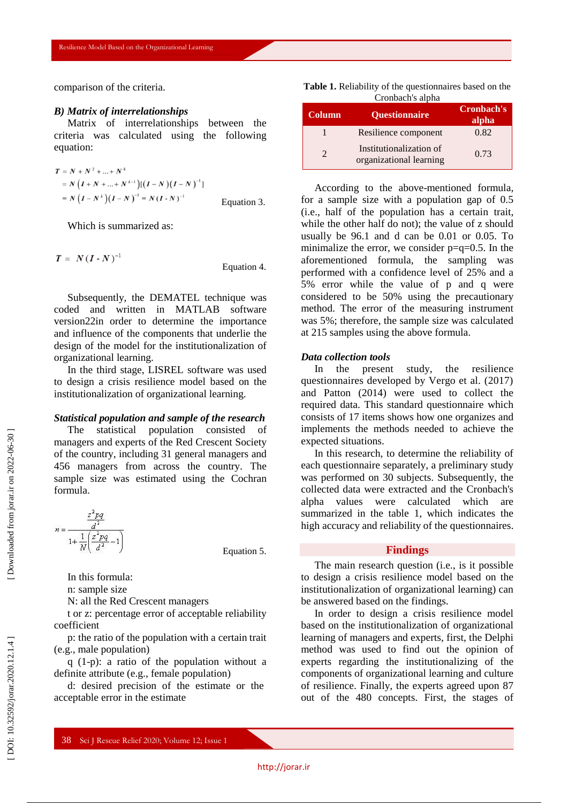comparison of the criteria.

#### *B) Matrix of interrelationships*

Matrix of interrelationships between the criteria was calculated using the following equation:

$$
T = N + N^{2} + ... + N^{k}
$$
  
= N (I + N + ... + N^{k-1})[(I - N)(I - N)^{-1}]  
= N (I - N^{k})(I - N)^{-1} = N (I - N)^{-1} Equation 3.

Which is summarized as:

$$
T = N(I - N)^{-1}
$$
 Equation 4.

Subsequently, the DEMATEL technique was coded and written in MATLAB software version22in order to determine the importance and influence of the components that underlie the design of the model for the institutionalization of organizational learning.

In the third stage, LISREL software was used to design a crisis resilience model based on the institutionalization of organizational learning.

### *Statistical population and sample of the research*

The statistical population consisted of managers and experts of the Red Crescent Society of the country, including 31 general managers and 456 managers from across the country. The sample size was estimated using the Cochran formula.



Equation 5.

In this formula:

n: sample size

N: all the Red Crescent managers

t or z: percentage error of acceptable reliability coefficient

p: the ratio of the population with a certain trait (e.g., male population)

q (1 -p): a ratio of the population without a definite attribute (e.g., female population)

d: desired precision of the estimate or the acceptable error in the estimate

| <b>Table 1.</b> Reliability of the question aires based on the |  |
|----------------------------------------------------------------|--|
| Cronbach's alpha                                               |  |

| <b>Column</b> | <b>Ouestionnaire</b>                               | <b>Cronbach's</b><br>alpha |
|---------------|----------------------------------------------------|----------------------------|
|               | Resilience component                               | 0.82                       |
|               | Institutionalization of<br>organizational learning | 0.73                       |

According to the above -mentioned formula, for a sample size with a population gap of 0.5 (i.e., half of the population has a certain trait, while the other half do not); the value of z should usually be 96.1 and d can be 0.01 or 0.05. To minimalize the error, we consider  $p=q=0.5$ . In the aforementioned formula, the sampling was performed with a confidence level of 25% and a 5% error while the value of p and q were considered to be 50% using the precautionary method. The error of the measuring instrument was 5%; therefore, the sample size was calculated at 215 samples using the above formula.

### *Data collection tools*

In the present study, the resilience questionnaires developed by Vergo et al. (2017) and Patton (2014) were used to collect the required data. This standard questionnaire which consists of 17 items shows how one organizes and implements the methods needed to achieve the expected situations.

In this research, to determine the reliability of each questionnaire separately, a preliminary study was performed on 30 subjects. Subsequently, the collected data were extracted and the Cronbach's alpha values were calculated which are summarized in the table 1, which indicates the high accuracy and reliability of the questionnaires.

### **Findings**

The main research question (i.e., is it possible to design a crisis resilience model based on the institutionalization of organizational learning) can be answered based on the findings.

In order to design a crisis resilience model based on the institutionalization of organizational learning of managers and experts, first, the Delphi method was used to find out the opinion of experts regarding the institutionalizing of the components of organizational learning and culture of resilience. Finally, the experts agreed upon 87 out of the 480 concepts. First, the stages of

DOI: 10.32592/jorar.2020.12.1.4]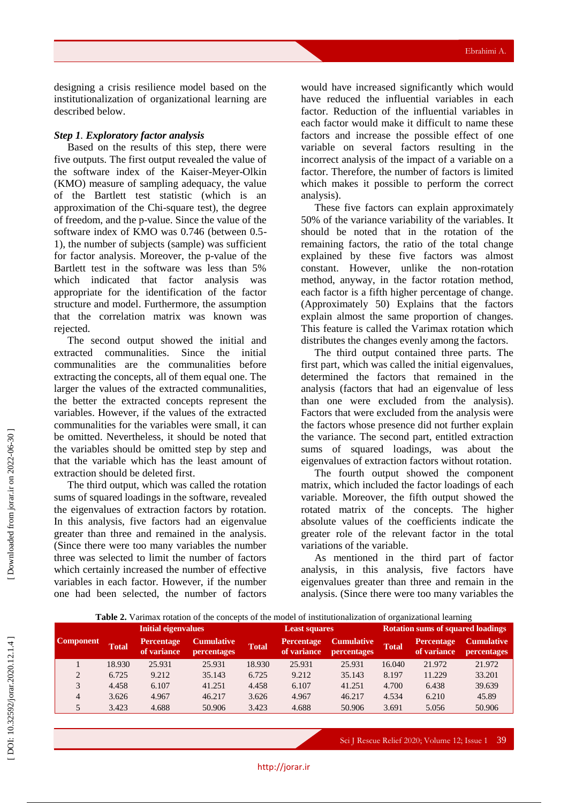designing a crisis resilience model based on the institutionalization of organizational learning are described below.

# *Step 1 . Exploratory factor analysis*

Based on the results of this step, there were five outputs. The first output revealed the value of the software index of the Kaiser -Meyer -Olkin (KMO) measure of sampling adequacy, the value of the Bartlett test statistic (which is an approximation of the Chi -square test), the degree of freedom, and the p -value. Since the value of the software index of KMO was 0.746 (between 0.5 - 1), the number of subjects (sample) was sufficient for factor analysis. Moreover, the p -value of the Bartlett test in the software was less than 5% which indicated that factor analysis was appropriate for the identification of the factor structure and model. Furthermore, the assumption that the correlation matrix was known was rejected.

The second output showed the initial and extracted communalities. Since the initial communalities are the communalities before extracting the concepts, all of them equal one. The larger the values of the extracted communalities, the better the extracted concepts represent the variables. However, if the values of the extracted communalities for the variables were small, it can be omitted. Nevertheless, it should be noted that the variables should be omitted step by step and that the variable which has the least amount of extraction should be deleted first.

The third output, which was called the rotation sums of squared loadings in the software, revealed the eigenvalues of extraction factors by rotation. In this analysis, five factors had an eigenvalue greater than three and remained in the analysis. (Since there were too many variables the number three was selected to limit the number of factors which certainly increased the number of effective variables in each factor. However, if the number one had been selected, the number of factors would have increased significantly which would have reduced the influential variables in each factor. Reduction of the influential variables in each factor would make it difficult to name these factors and increase the possible effect of one variable on several factors resulting in the incorrect analysis of the impact of a variable on a factor. Therefore, the number of factors is limited which makes it possible to perform the correct analysis).

These five factors can explain approximately 50% of the variance variability of the variables. It should be noted that in the rotation of the remaining factors, the ratio of the total change explained by these five factors was almost constant. However, unlike the non -rotation method, anyway, in the factor rotation method, each factor is a fifth higher percentage of change. (Approximately 50) Explains that the factors explain almost the same proportion of changes. This feature is called the Varimax rotation which distributes the changes evenly among the factors.

The third output contained three parts. The first part, which was called the initial eigenvalues, determined the factors that remained in the analysis (factors that had an eigenvalue of less than one were excluded from the analysis). Factors that were excluded from the analysis were the factors whose presence did not further explain the variance. The second part, entitled extraction sums of squared loadings, was about the eigenvalues of extraction factors without rotation .

The fourth output showed the component matrix, which included the factor loadings of each variable. Moreover, the fifth output showed the rotated matrix of the concepts. The higher absolute values of the coefficients indicate the greater role of the relevant factor in the total variations of the variable.

As mentioned in the third part of factor analysis, in this analysis, five factors have eigenvalues greater than three and remain in the analysis. (Since there were too many variables the

|         |                     |  | <b>Table 2.</b> Valifical folation of the concepts of the model of institutionalization of organizational realing |                      |  |                                                        |                                          |                                                        |  |  |
|---------|---------------------|--|-------------------------------------------------------------------------------------------------------------------|----------------------|--|--------------------------------------------------------|------------------------------------------|--------------------------------------------------------|--|--|
|         | Initial eigenvalues |  |                                                                                                                   | <b>Least squares</b> |  |                                                        | <b>Rotation sums of squared loadings</b> |                                                        |  |  |
| nponent | Total               |  | Percentage Cumulative<br>of variance percentages Total                                                            |                      |  | Percentage Cumulative Total<br>of variance percentages |                                          | <b>Percentage Cumulative</b><br>of variance percentage |  |  |

**Table 2.** Varimax rotation of the concepts of the model of institutionalization of organizational learning

| ponent         | <b>Total</b> | <b>Percentage</b><br>of variance | <b>Cumulative</b><br><b>percentages</b> | <b>Total</b> | Percentage<br>of variance | <b>Cumulative</b><br>percentages | <b>Total</b> | <b>Percentage</b><br>of variance | <b>Cumulative</b><br>percentages |
|----------------|--------------|----------------------------------|-----------------------------------------|--------------|---------------------------|----------------------------------|--------------|----------------------------------|----------------------------------|
|                | 18.930       | 25.931                           | 25.931                                  | 18.930       | 25.931                    | 25.931                           | 16.040       | 21.972                           | 21.972                           |
|                | 6.725        | 9.212                            | 35.143                                  | 6.725        | 9.212                     | 35.143                           | 8.197        | 11.229                           | 33.201                           |
|                | 4.458        | 6.107                            | 41.251                                  | 4.458        | 6.107                     | 41.251                           | 4.700        | 6.438                            | 39.639                           |
| $\overline{4}$ | 3.626        | 4.967                            | 46.217                                  | 3.626        | 4.967                     | 46.217                           | 4.534        | 6.210                            | 45.89                            |
| 5 <sup>5</sup> | 3.423        | 4.688                            | 50.906                                  | 3.423        | 4.688                     | 50.906                           | 3.691        | 5.056                            | 50.906                           |
|                |              |                                  |                                         |              |                           |                                  |              |                                  |                                  |

Co<sub>1</sub>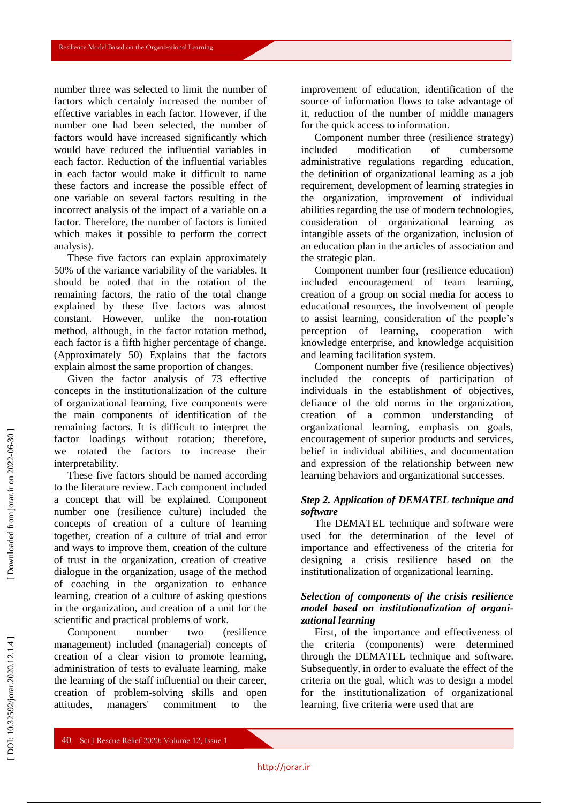number three was selected to limit the number of factors which certainly increased the number of effective variables in each factor. However, if the number one had been selected, the number of factors would have increased significantly which would have reduced the influential variables in each factor. Reduction of the influential variables in each factor would make it difficult to name these factors and increase the possible effect of one variable on several factors resulting in the incorrect analysis of the impact of a variable on a factor. Therefore, the number of factors is limited which makes it possible to perform the correct analysis).

These five factors can explain approximately 50% of the variance variability of the variables. It should be noted that in the rotation of the remaining factors, the ratio of the total change explained by these five factors was almost constant. However, unlike the non -rotation method, although, in the factor rotation method, each factor is a fifth higher percentage of change. (Approximately 50) Explains that the factors explain almost the same proportion of changes.

Given the factor analysis of 73 effective concepts in the institutionalization of the culture of organizational learning, five components were the main components of identification of the remaining factors. It is difficult to interpret the factor loadings without rotation; therefore, we rotated the factors to increase their interpretability.

These five factors should be named according to the literature review. Each component included a concept that will be explained. Component number one (resilience culture) included the concepts of creation of a culture of learning together, creation of a culture of trial and error and ways to improve them, creation of the culture of trust in the organization, creation of creative dialogue in the organization, usage of the method of coaching in the organization to enhance learning, creation of a culture of asking questions in the organization, and creation of a unit for the scientific and practical problems of work.

Component number two (resilience management) included (managerial) concepts of creation of a clear vision to promote learning, administration of tests to evaluate learning, make the learning of the staff influential on their career, creation of problem -solving skills and open attitudes, managers' commitment to the

improvement of education, identification of the source of information flows to take advantage of it, reduction of the number of middle managers for the quick access to information.

Component number three (resilience strategy) included modification of cumbersome administrative regulations regarding education, the definition of organizational learning as a job requirement, development of learning strategies in the organization, improvement of individual abilities regarding the use of modern technologies, consideration of organizational learning as intangible assets of the organization, inclusion of an education plan in the articles of association and the strategic plan.

Component number four (resilience education) included encouragement of team learning, creation of a group on social media for access to educational resources, the involvement of people to assist learning, consideration of the people's perception of learning, cooperation with knowledge enterprise, and knowledge acquisition and learning facilitation system.

Component number five (resilience objectives) included the concepts of participation of individuals in the establishment of objectives, defiance of the old norms in the organization, creation of a common understanding of organizational learning, emphasis on goals, encouragement of superior products and services, belief in individual abilities, and documentation and expression of the relationship between new learning behaviors and organizational successes.

### *Step 2. Application of DEMATEL technique and software*

The DEMATEL technique and software were used for the determination of the level of importance and effectiveness of the criteria for designing a crisis resilience based on the institutionalization of organizational learning.

## *Selection of components of the crisis resilience model based on institutionalization of organi zational learning*

First, of the importance and effectiveness of the criteria (components) were determined through the DEMATEL technique and software. Subsequently, in order to evaluate the effect of the criteria on the goal, which was to design a model for the institutionalization of organizational learning, five criteria were used that are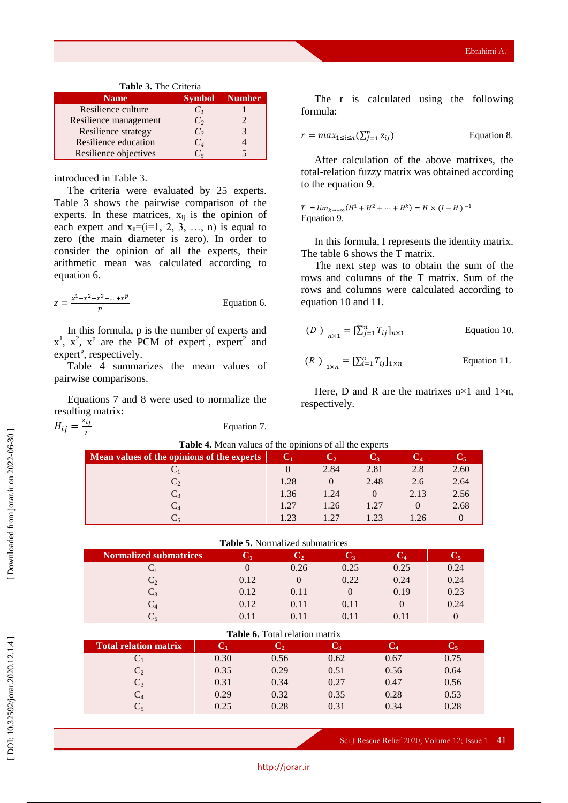| <b>Table 5.</b> The Criteria |                |        |  |  |  |  |  |
|------------------------------|----------------|--------|--|--|--|--|--|
| <b>Name</b>                  | <b>Symbol</b>  | Number |  |  |  |  |  |
| Resilience culture           | C <sub>1</sub> |        |  |  |  |  |  |
| Resilience management        | C <sub>2</sub> |        |  |  |  |  |  |
| Resilience strategy          | $C_3$          |        |  |  |  |  |  |
| Resilience education         | $C_4$          |        |  |  |  |  |  |
| Resilience objectives        | C.             |        |  |  |  |  |  |

### **Table 3.** The Criteria

### introduced in Table 3.

The criteria were evaluated by 25 experts. Table 3 shows the pairwise comparison of the experts. In these matrices,  $x_{ij}$  is the opinion of each expert and  $x_{ii}=(i=1, 2, 3, \ldots, n)$  is equal to zero (the main diameter is zero). In order to consider the opinion of all the experts, their arithmetic mean was calculated according to equation 6.

$$
z = \frac{x^1 + x^2 + x^3 + \dots + x^p}{p}
$$
 Equation 6.

In this formula, p is the number of experts and  $x^1$ ,  $x^2$ ,  $x^p$  are the PCM of expert<sup>1</sup>, expert<sup>2</sup> and expert<sup>p</sup>, respectively.

Table 4 summarizes the mean values of pairwise comparisons.

Equations 7 and 8 were used to normalize the resulting matrix:

 $H_{ij} = \frac{\tilde{z_{ij}}}{r}$ 

Equation 7.

The r is calculated using the following formula:

$$
r = \max_{1 \le i \le n} (\sum_{j=1}^n z_{ij})
$$
 Equation 8.

After calculation of the above matrixes, the total -relation fuzzy matrix was obtained according to the equation 9.

 $T = lim_{k \to +\infty} (H^1 + H^2 + \dots + H^k) = H \times (I - H)^{-1}$ Equation 9.

In this formula, I represents the identity matrix. The table 6 shows the T matrix.

The next step was to obtain the sum of the rows and columns of the T matrix. Sum of the rows and columns were calculated according to equation 10 and 11.

$$
(D)_{n \times 1} = [\sum_{j=1}^{n} T_{ij}]_{n \times 1}
$$
 Equation 10.

$$
(R)_{1 \times n} = [\sum_{i=1}^{n} T_{ij}]_{1 \times n}
$$
 Equation 11.

Here, D and R are the matrixes  $n \times 1$  and  $1 \times n$ , respectively.

| Table 4. Mean values of the opinions of all the experts |          |          |                |      |      |  |  |  |  |
|---------------------------------------------------------|----------|----------|----------------|------|------|--|--|--|--|
| Mean values of the opinions of the experts              | C1       | しっ       | $\mathbf{C}_3$ |      |      |  |  |  |  |
|                                                         | $\theta$ | 2.84     | 2.81           | 2.8  | 2.60 |  |  |  |  |
|                                                         | 1.28     | $\left($ | 2.48           | 2.6  | 2.64 |  |  |  |  |
| $C_{3}$                                                 | 1.36     | 1.24     |                | 2.13 | 2.56 |  |  |  |  |
|                                                         | 1.27     | 1.26     | 1.27           |      | 2.68 |  |  |  |  |
|                                                         | 1 23     | 1.27     | 1 23           | 26   |      |  |  |  |  |

|  |  |  | <b>Table 5.</b> Normalized submatrices |
|--|--|--|----------------------------------------|
|--|--|--|----------------------------------------|

| <b>Normalized submatrices</b> | U    | C,   | U٩   | Č4   |      |
|-------------------------------|------|------|------|------|------|
|                               |      | 0.26 | 0.25 | 0.25 | 0.24 |
| C,                            | 0.12 |      | 0.22 | 0.24 | 0.24 |
| $C_3$                         | 0.12 | 0.11 |      | 0.19 | 0.23 |
| $\rm{C_4}$                    | 0.12 | 0.11 | 0.11 |      | 0.24 |
|                               | 0.11 | 0.11 | 0.11 | 0.11 |      |

| <b>Table 6.</b> Total relation matrix |      |                |            |      |                |  |  |  |  |  |
|---------------------------------------|------|----------------|------------|------|----------------|--|--|--|--|--|
| <b>Total relation matrix</b>          |      | $\mathbf{C}_2$ | $\bf{C}_3$ |      | $\mathrm{C}_5$ |  |  |  |  |  |
|                                       | 0.30 | 0.56           | 0.62       | 0.67 | 0.75           |  |  |  |  |  |
| $C_{2}$                               | 0.35 | 0.29           | 0.51       | 0.56 | 0.64           |  |  |  |  |  |
| $C_3$                                 | 0.31 | 0.34           | 0.27       | 0.47 | 0.56           |  |  |  |  |  |
| $C_4$                                 | 0.29 | 0.32           | 0.35       | 0.28 | 0.53           |  |  |  |  |  |
|                                       | 0.25 | 0.28           | 0.31       | 0.34 | 0.28           |  |  |  |  |  |

Sci J Rescue Relief 2020; Volume 12; Issue 1 41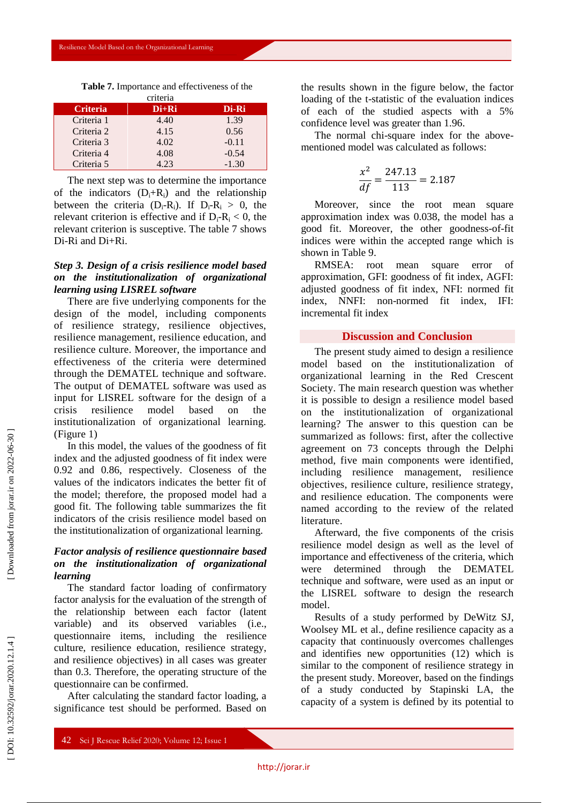**Table 7.** Importance and effectiveness of the

|                 | criteria |         |
|-----------------|----------|---------|
| <b>Criteria</b> | $Di+Ri$  | Di-Ri   |
| Criteria 1      | 4.40     | 1.39    |
| Criteria 2      | 4.15     | 0.56    |
| Criteria 3      | 4.02     | $-0.11$ |
| Criteria 4      | 4.08     | $-0.54$ |
| Criteria 5      | 4.23     | $-1.30$ |

The next step was to determine the importance of the indicators  $(D_i+R_i)$  and the relationship between the criteria  $(D_i - R_i)$ . If  $D_i - R_i > 0$ , the relevant criterion is effective and if  $D_i - R_i < 0$ , the relevant criterion is susceptive. The table 7 shows Di -Ri and Di+Ri.

## *Step 3. Design of a crisis resilience model based on the institutionalization of organizational learning using LISREL software*

There are five underlying components for the design of the model, including components of resilience strategy, resilience objectives, resilience management, resilience education, and resilience culture. Moreover, the importance and effectiveness of the criteria were determined through the DEMATEL technique and software. The output of DEMATEL software was used as input for LISREL software for the design of a crisis resilience model based on the institutionalization of organizational learning. (Figure 1)

In this model, the values of the goodness of fit index and the adjusted goodness of fit index were 0.92 and 0.86, respectively. Closeness of the values of the indicators indicates the better fit of the model; therefore, the proposed model had a good fit. The following table summarizes the fit indicators of the crisis resilience model based on the institutionalization of organizational learning *.*

# *Factor analysis of resilience questionnaire based on the institutionalization of organizational learning*

The standard factor loading of confirmatory factor analysis for the evaluation of the strength of the relationship between each factor (latent variable) and its observed variables (i.e., questionnaire items, including the resilience culture, resilience education, resilience strategy, and resilience objectives) in all cases was greater than 0.3. Therefore, the operating structure of the questionnaire can be confirmed.

After calculating the standard factor loading, a significance test should be performed. Based on the results shown in the figure below, the factor loading of the t -statistic of the evaluation indices of each of the studied aspects with a 5% confidence level was greater than 1.96.

The normal chi-square index for the abovementioned model was calculated as follows:

$$
\frac{x^2}{df} = \frac{247.13}{113} = 2.187
$$

Moreover, since the root mean square approximation index was 0.038, the model has a good fit. Moreover, the other goodness -of-fit indices were within the accepted range which is shown in Table 9.

RMSEA: root mean square error of approximation, GFI: goodness of fit index, AGFI: adjusted goodness of fit index, NFI: normed fit index, NNFI: non -normed fit index, IFI: incremental fit index

### **Discussion and Conclusion**

The present study aimed to design a resilience model based on the institutionalization of organizational learning in the Red Crescent Society. The main research question was whether it is possible to design a resilience model based on the institutionalization of organizational learning? The answer to this question can be summarized as follows: first, after the collective agreement on 73 concepts through the Delphi method, five main components were identified, including resilience management, resilience objectives, resilience culture, resilience strategy, and resilience education. The components were named according to the review of the related literature.

Afterward, the five components of the crisis resilience model design as well as the level of importance and effectiveness of the criteria, which were determined through the DEMATEL technique and software, were used as an input or the LISREL software to design the research model.

Results of a study performed by DeWitz SJ, Woolsey ML et al., define resilience capacity as a capacity that continuously overcomes challenges and identifies new opportunities (12) which is similar to the component of resilience strategy in the present study. Moreover, based on the findings of a study conducted by Stapinski LA, the capacity of a system is defined by its potential to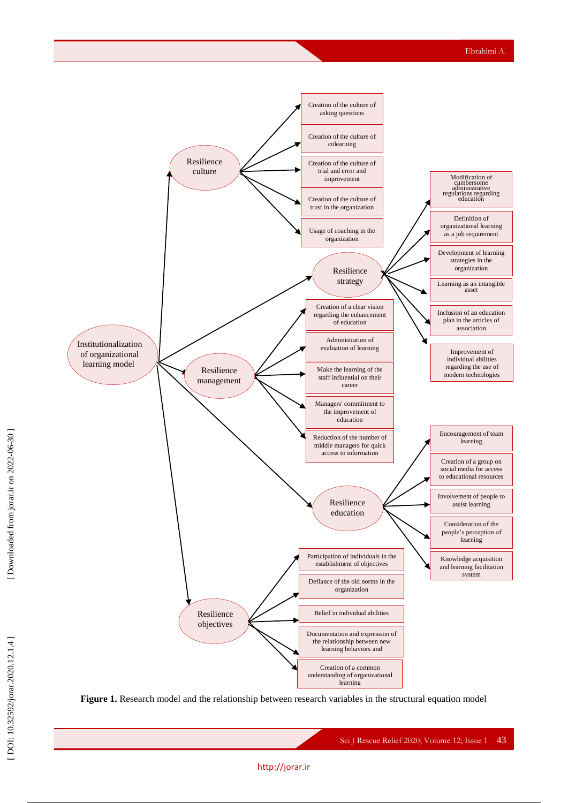

**Figure 1.** Research model and the relationship between research variables in the structural equation model

### http://jorar.i r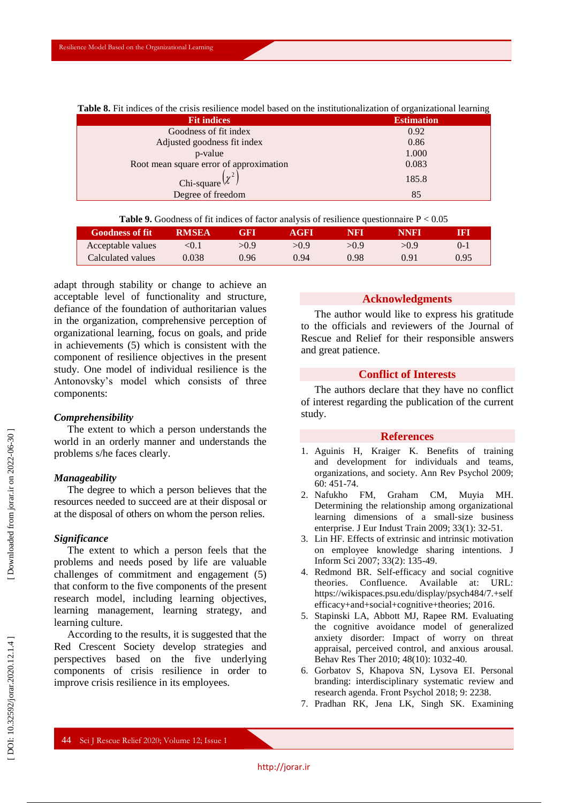| of the endire reditioned model caped on the increasionalization or organizational realizing |                   |  |  |  |  |  |
|---------------------------------------------------------------------------------------------|-------------------|--|--|--|--|--|
| <b>Fit indices</b>                                                                          | <b>Estimation</b> |  |  |  |  |  |
| Goodness of fit index                                                                       | 0.92              |  |  |  |  |  |
| Adjusted goodness fit index                                                                 | 0.86              |  |  |  |  |  |
| p-value                                                                                     | 1.000             |  |  |  |  |  |
| Root mean square error of approximation                                                     | 0.083             |  |  |  |  |  |
| Chi-square $(x^2)$                                                                          | 185.8             |  |  |  |  |  |
| Degree of freedom                                                                           | 85                |  |  |  |  |  |
|                                                                                             |                   |  |  |  |  |  |

**Table 8.** Fit indices of the crisis resilience model based on the institutionalization of organizational learning

|  |  |  | <b>Table 9.</b> Goodness of fit indices of factor analysis of resilience questionnaire $P < 0.05$ |  |  |
|--|--|--|---------------------------------------------------------------------------------------------------|--|--|
|  |  |  |                                                                                                   |  |  |

| <b>Goodness of fit</b> | <b>RMSEA</b> | eft   | AGFL  | NRT  | NNRT  | RT   |
|------------------------|--------------|-------|-------|------|-------|------|
| Acceptable values      | < 0.1        | > 0.9 | > 0.9 | >0.9 | > 0.9 |      |
| Calculated values      | 0.038        | 0.96  | 0.94  | 0.98 | 0.91  | 0.95 |

adapt through stability or change to achieve an acceptable level of functionality and structure, defiance of the foundation of authoritarian values in the organization, comprehensive perception of organizational learning, focus on goals, and pride in achievements (5) which is consistent with the component of resilience objectives in the present study. One model of individual resilience is the Antonovsky's model which consists of three components:

### *Comprehensibility*

The extent to which a person understands the world in an orderly manner and understands the problems s/he faces clearly.

#### *Manageability*

The degree to which a person believes that the resources needed to succeed are at their disposal or at the disposal of others on whom the person relies.

#### *Significance*

The extent to which a person feels that the problems and needs posed by life are valuable challenges of commitment and engagement (5) that conform to the five components of the present research model, including learning objectives, learning management, learning strategy, and learning culture.

According to the results, it is suggested that the Red Crescent Society develop strategies and perspectives based on the five underlying components of crisis resilience in order to improve crisis resilience in its employees.

### **Acknowledgments**

The author would like to express his gratitude to the officials and reviewers of the Journal of Rescue and Relief for their responsible answers and great patience.

### **Conflict of Interests**

The authors declare that they have no conflict of interest regarding the publication of the current study.

### **References**

- 1 . Aguinis H, Kraiger K. Benefits of training and development for individuals and teams, organizations, and society. Ann Rev Psychol 2009; 60: 451 -74.
- 2 . Nafukho FM, Graham CM, Muyia MH. Determining the relationship among organizational learning dimensions of a small ‐size business enterprise. J Eur Indust Train 2009; 33(1): 32 -51.
- 3 . Lin HF. Effects of extrinsic and intrinsic motivation on employee knowledge sharing intentions. J Inform Sci 2007; 33(2): 135 -49.
- 4 . Redmond BR. Self-efficacy and social cognitive theories. Confluence. Available at: URL: https://wikispaces.psu.edu/display/psych484/7.+self efficacy+and+social+cognitive+theories; 2016.
- 5 . Stapinski LA, Abbott MJ, Rapee RM. Evaluating the cognitive avoidance model of generalized anxiety disorder: Impact of worry on threat appraisal, perceived control, and anxious arousal. Behav Res Ther 2010; 48(10): 1032 -40.
- 6 . Gorbatov S, Khapova SN, Lysova EI. Personal branding: interdisciplinary systematic review and research agenda. Front Psychol 2018; 9: 2238.
- 7 . Pradhan RK, Jena LK, Singh SK. Examining